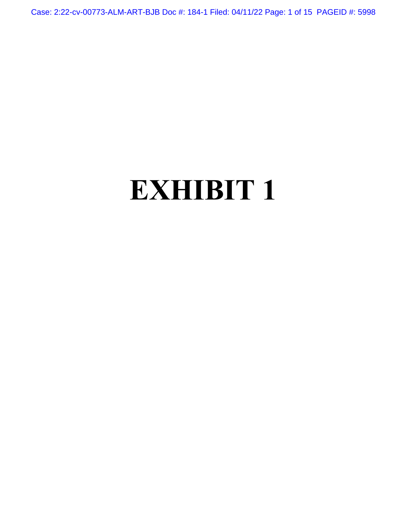Case: 2:22-cv-00773-ALM-ART-BJB Doc #: 184-1 Filed: 04/11/22 Page: 1 of 15 PAGEID #: 5998

# **EXHIBIT 1**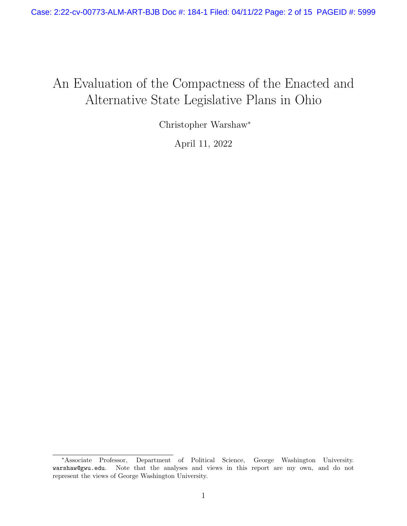# An Evaluation of the Compactness of the Enacted and Alternative State Legislative Plans in Ohio

Christopher Warshaw<sup>∗</sup>

April 11, 2022

<sup>∗</sup>Associate Professor, Department of Political Science, George Washington University. warshaw@gwu.edu. Note that the analyses and views in this report are my own, and do not represent the views of George Washington University.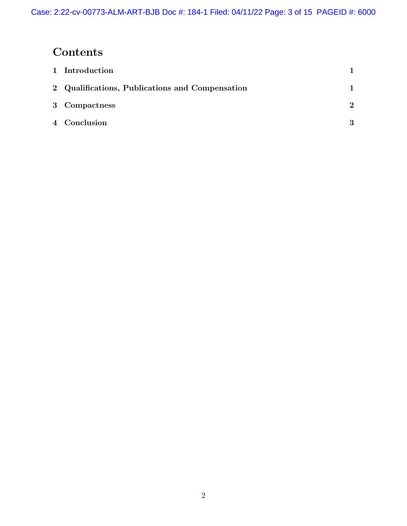# Contents

| 1 Introduction                                  |                               |
|-------------------------------------------------|-------------------------------|
| 2 Qualifications, Publications and Compensation |                               |
| 3 Compactness                                   | $\mathfrak{D}_{\mathfrak{p}}$ |
| 4 Conclusion                                    | 3                             |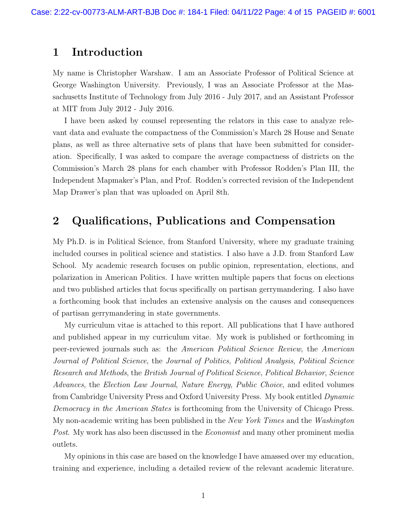# 1 Introduction

My name is Christopher Warshaw. I am an Associate Professor of Political Science at George Washington University. Previously, I was an Associate Professor at the Massachusetts Institute of Technology from July 2016 - July 2017, and an Assistant Professor at MIT from July 2012 - July 2016.

I have been asked by counsel representing the relators in this case to analyze relevant data and evaluate the compactness of the Commission's March 28 House and Senate plans, as well as three alternative sets of plans that have been submitted for consideration. Specifically, I was asked to compare the average compactness of districts on the Commission's March 28 plans for each chamber with Professor Rodden's Plan III, the Independent Mapmaker's Plan, and Prof. Rodden's corrected revision of the Independent Map Drawer's plan that was uploaded on April 8th.

# 2 Qualifications, Publications and Compensation

My Ph.D. is in Political Science, from Stanford University, where my graduate training included courses in political science and statistics. I also have a J.D. from Stanford Law School. My academic research focuses on public opinion, representation, elections, and polarization in American Politics. I have written multiple papers that focus on elections and two published articles that focus specifically on partisan gerrymandering. I also have a forthcoming book that includes an extensive analysis on the causes and consequences of partisan gerrymandering in state governments.

My curriculum vitae is attached to this report. All publications that I have authored and published appear in my curriculum vitae. My work is published or forthcoming in peer-reviewed journals such as: the *American Political Science Review*, the *American Journal of Political Science*, the *Journal of Politics*, *Political Analysis*, *Political Science Research and Methods*, the *British Journal of Political Science*, *Political Behavior*, *Science Advances*, the *Election Law Journal*, *Nature Energy*, *Public Choice*, and edited volumes from Cambridge University Press and Oxford University Press. My book entitled *Dynamic Democracy in the American States* is forthcoming from the University of Chicago Press. My non-academic writing has been published in the *New York Times* and the *Washington Post*. My work has also been discussed in the *Economist* and many other prominent media outlets.

My opinions in this case are based on the knowledge I have amassed over my education, training and experience, including a detailed review of the relevant academic literature.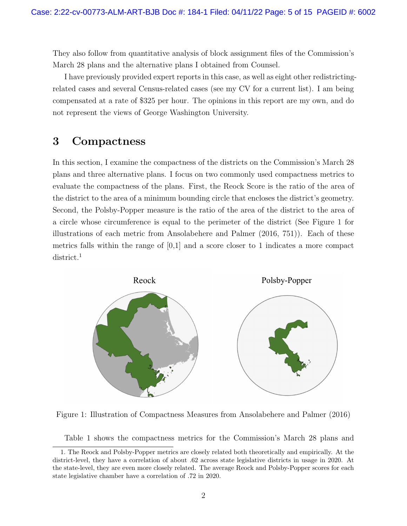They also follow from quantitative analysis of block assignment files of the Commission's March 28 plans and the alternative plans I obtained from Counsel.

I have previously provided expert reports in this case, as well as eight other redistrictingrelated cases and several Census-related cases (see my CV for a current list). I am being compensated at a rate of \$325 per hour. The opinions in this report are my own, and do not represent the views of George Washington University.

# 3 Compactness

In this section, I examine the compactness of the districts on the Commission's March 28 plans and three alternative plans. I focus on two commonly used compactness metrics to evaluate the compactness of the plans. First, the Reock Score is the ratio of the area of the district to the area of a minimum bounding circle that encloses the district's geometry. Second, the Polsby-Popper measure is the ratio of the area of the district to the area of a circle whose circumference is equal to the perimeter of the district (See Figure 1 for illustrations of each metric from Ansolabehere and Palmer (2016, 751)). Each of these metrics falls within the range of  $[0,1]$  and a score closer to 1 indicates a more compact district.<sup>1</sup>



Figure 1: Illustration of Compactness Measures from Ansolabehere and Palmer (2016)

Table 1 shows the compactness metrics for the Commission's March 28 plans and

<sup>1.</sup> The Reock and Polsby-Popper metrics are closely related both theoretically and empirically. At the district-level, they have a correlation of about .62 across state legislative districts in usage in 2020. At the state-level, they are even more closely related. The average Reock and Polsby-Popper scores for each state legislative chamber have a correlation of .72 in 2020.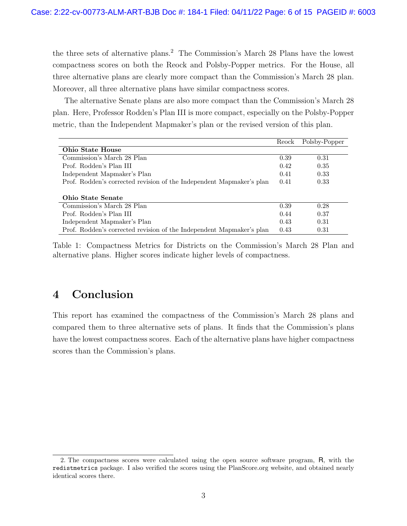the three sets of alternative plans.<sup>2</sup> The Commission's March 28 Plans have the lowest compactness scores on both the Reock and Polsby-Popper metrics. For the House, all three alternative plans are clearly more compact than the Commission's March 28 plan. Moreover, all three alternative plans have similar compactness scores.

The alternative Senate plans are also more compact than the Commission's March 28 plan. Here, Professor Rodden's Plan III is more compact, especially on the Polsby-Popper metric, than the Independent Mapmaker's plan or the revised version of this plan.

|                                                                      | Reock | Polsby-Popper |  |  |
|----------------------------------------------------------------------|-------|---------------|--|--|
| <b>Ohio State House</b>                                              |       |               |  |  |
| Commission's March 28 Plan                                           | 0.39  | 0.31          |  |  |
| Prof. Rodden's Plan III                                              | 0.42  | 0.35          |  |  |
| Independent Mapmaker's Plan                                          | 0.41  | 0.33          |  |  |
| Prof. Rodden's corrected revision of the Independent Mapmaker's plan | 0.41  | 0.33          |  |  |
|                                                                      |       |               |  |  |
| <b>Ohio State Senate</b>                                             |       |               |  |  |
| Commission's March 28 Plan                                           | 0.39  | 0.28          |  |  |
| Prof. Rodden's Plan III                                              | 0.44  | 0.37          |  |  |
| Independent Mapmaker's Plan                                          | 0.43  | 0.31          |  |  |
| Prof. Rodden's corrected revision of the Independent Mapmaker's plan | 0.43  | 0.31          |  |  |

Table 1: Compactness Metrics for Districts on the Commission's March 28 Plan and alternative plans. Higher scores indicate higher levels of compactness.

# 4 Conclusion

This report has examined the compactness of the Commission's March 28 plans and compared them to three alternative sets of plans. It finds that the Commission's plans have the lowest compactness scores. Each of the alternative plans have higher compactness scores than the Commission's plans.

<sup>2.</sup> The compactness scores were calculated using the open source software program, R, with the redistmetrics package. I also verified the scores using the PlanScore.org website, and obtained nearly identical scores there.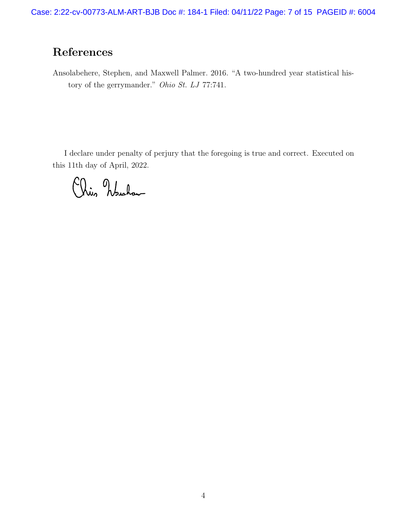# References

Ansolabehere, Stephen, and Maxwell Palmer. 2016. "A two-hundred year statistical history of the gerrymander." *Ohio St. LJ* 77:741.

I declare under penalty of perjury that the foregoing is true and correct. Executed on this 11th day of April, 2022.

Chis Nuchan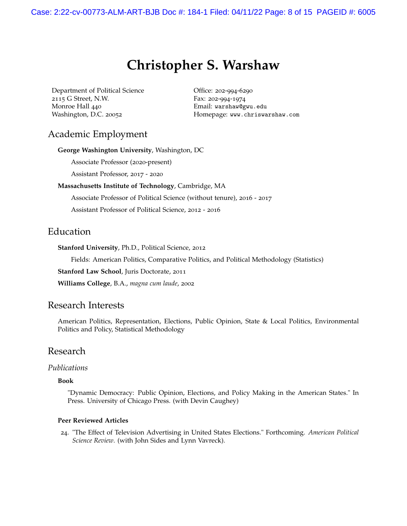# **Christopher S. Warshaw**

Department of Political Science 2115 G Street, N.W. Monroe Hall 440 Washington, D.C. 20052

Office: 202-994-6290 Fax: 202-994-1974 Email: warshaw@gwu.edu Homepage: www.chriswarshaw.com

# Academic Employment

**George Washington University**, Washington, DC

Associate Professor (2020-present)

Assistant Professor, 2017 - 2020

#### **Massachusetts Institute of Technology**, Cambridge, MA

Associate Professor of Political Science (without tenure), 2016 - 2017

Assistant Professor of Political Science, 2012 - 2016

# Education

**Stanford University**, Ph.D., Political Science, 2012

Fields: American Politics, Comparative Politics, and Political Methodology (Statistics)

**Stanford Law School**, Juris Doctorate, 2011

**Williams College**, B.A., *magna cum laude*, 2002

#### Research Interests

American Politics, Representation, Elections, Public Opinion, State & Local Politics, Environmental Politics and Policy, Statistical Methodology

# Research

#### *Publications*

#### **Book**

"Dynamic Democracy: Public Opinion, Elections, and Policy Making in the American States." In Press. University of Chicago Press. (with Devin Caughey)

#### **Peer Reviewed Articles**

24. "The Effect of Television Advertising in United States Elections." Forthcoming. *American Political Science Review*. (with John Sides and Lynn Vavreck).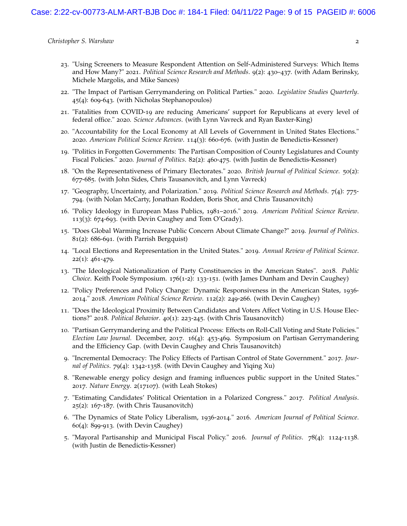- . "Using Screeners to Measure Respondent Attention on Self-Administered Surveys: Which Items and How Many?" 2021. *Political Science Research and Methods*. 9(2): 430–437. (with Adam Berinsky, Michele Margolis, and Mike Sances)
- . "The Impact of Partisan Gerrymandering on Political Parties." 2020. *Legislative Studies Quarterly*. (4): 609-643. (with Nicholas Stephanopoulos)
- . "Fatalities from COVID-19 are reducing Americans' support for Republicans at every level of federal office." 2020. *Science Advances*. (with Lynn Vavreck and Ryan Baxter-King)
- . "Accountability for the Local Economy at All Levels of Government in United States Elections." . *American Political Science Review*. 114(3): 660-676. (with Justin de Benedictis-Kessner)
- . "Politics in Forgotten Governments: The Partisan Composition of County Legislatures and County Fiscal Policies." 2020. *Journal of Politics*. 82(2): 460-475. (with Justin de Benedictis-Kessner)
- . "On the Representativeness of Primary Electorates." 2020. *British Journal of Political Science*. 50(2): -685. (with John Sides, Chris Tausanovitch, and Lynn Vavreck)
- . "Geography, Uncertainty, and Polarization." 2019. *Political Science Research and Methods*. 7(4): 775- . (with Nolan McCarty, Jonathan Rodden, Boris Shor, and Chris Tausanovitch)
- . "Policy Ideology in European Mass Publics, 1981–2016." 2019. *American Political Science Review*. (3): 674-693. (with Devin Caughey and Tom O'Grady).
- . "Does Global Warming Increase Public Concern About Climate Change?" 2019. *Journal of Politics*. (2): 686-691. (with Parrish Bergquist)
- . "Local Elections and Representation in the United States." 2019. *Annual Review of Political Science*. (1): 461-479.
- . "The Ideological Nationalization of Party Constituencies in the American States". 2018. *Public Choice*. Keith Poole Symposium. 176(1-2): 133-151. (with James Dunham and Devin Caughey)
- . "Policy Preferences and Policy Change: Dynamic Responsiveness in the American States, 1936- ." 2018. *American Political Science Review*. 112(2): 249-266. (with Devin Caughey)
- . "Does the Ideological Proximity Between Candidates and Voters Affect Voting in U.S. House Elections?" 2018. *Political Behavior*. 40(1): 223-245. (with Chris Tausanovitch)
- . "Partisan Gerrymandering and the Political Process: Effects on Roll-Call Voting and State Policies." *Election Law Journal.* December, 2017. 16(4): 453-469. Symposium on Partisan Gerrymandering and the Efficiency Gap. (with Devin Caughey and Chris Tausanovitch)
- . "Incremental Democracy: The Policy Effects of Partisan Control of State Government." 2017. *Journal of Politics*. 79(4): 1342-1358. (with Devin Caughey and Yiqing Xu)
- . "Renewable energy policy design and framing influences public support in the United States." . *Nature Energy*. 2(17107). (with Leah Stokes)
- . "Estimating Candidates' Political Orientation in a Polarized Congress." 2017. *Political Analysis*. (2): 167-187. (with Chris Tausanovitch)
- . "The Dynamics of State Policy Liberalism, 1936-2014." 2016. *American Journal of Political Science*. (4): 899-913. (with Devin Caughey)
- . "Mayoral Partisanship and Municipal Fiscal Policy." 2016. *Journal of Politics*. 78(4): 1124-1138. (with Justin de Benedictis-Kessner)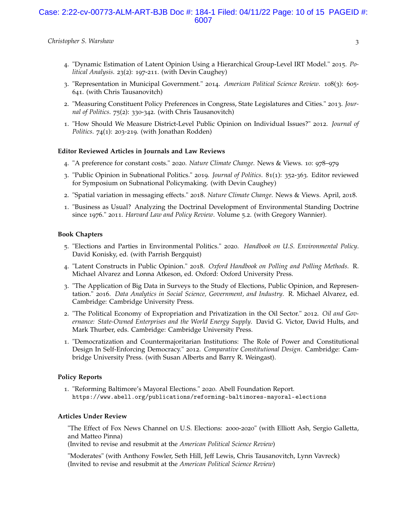#### Case: 2:22-cv-00773-ALM-ART-BJB Doc #: 184-1 Filed: 04/11/22 Page: 10 of 15 PAGEID #: 6007

*Christopher S. Warshaw* 3

- 4. "Dynamic Estimation of Latent Opinion Using a Hierarchical Group-Level IRT Model." 2015. *Political Analysis*. 23(2): 197-211. (with Devin Caughey)
- 3. "Representation in Municipal Government." 2014. *American Political Science Review*. 108(3): 605- 641. (with Chris Tausanovitch)
- 2. "Measuring Constituent Policy Preferences in Congress, State Legislatures and Cities." 2013. *Journal of Politics*. 75(2): 330-342. (with Chris Tausanovitch)
- 1. "How Should We Measure District-Level Public Opinion on Individual Issues?" 2012. *Journal of Politics*. 74(1): 203-219. (with Jonathan Rodden)

#### **Editor Reviewed Articles in Journals and Law Reviews**

- 4. "A preference for constant costs." 2020. *Nature Climate Change*. News & Views. 10: 978–979
- 3. "Public Opinion in Subnational Politics." 2019. *Journal of Politics*. 81(1): 352-363. Editor reviewed for Symposium on Subnational Policymaking. (with Devin Caughey)
- 2. "Spatial variation in messaging effects." 2018. *Nature Climate Change*. News & Views. April, 2018.
- 1. "Business as Usual? Analyzing the Doctrinal Development of Environmental Standing Doctrine since 1976." 2011. *Harvard Law and Policy Review*. Volume 5.2. (with Gregory Wannier).

#### **Book Chapters**

- 5. "Elections and Parties in Environmental Politics." 2020. *Handbook on U.S. Environmental Policy*. David Konisky, ed. (with Parrish Bergquist)
- 4. "Latent Constructs in Public Opinion." 2018. *Oxford Handbook on Polling and Polling Methods*. R. Michael Alvarez and Lonna Atkeson, ed. Oxford: Oxford University Press.
- 3. "The Application of Big Data in Surveys to the Study of Elections, Public Opinion, and Representation." 2016. *Data Analytics in Social Science, Government, and Industry*. R. Michael Alvarez, ed. Cambridge: Cambridge University Press.
- 2. "The Political Economy of Expropriation and Privatization in the Oil Sector." 2012. *Oil and Governance: State-Owned Enterprises and the World Energy Supply*. David G. Victor, David Hults, and Mark Thurber, eds. Cambridge: Cambridge University Press.
- 1. "Democratization and Countermajoritarian Institutions: The Role of Power and Constitutional Design In Self-Enforcing Democracy." 2012. *Comparative Constitutional Design*. Cambridge: Cambridge University Press. (with Susan Alberts and Barry R. Weingast).

#### **Policy Reports**

1. "Reforming Baltimore's Mayoral Elections." 2020. Abell Foundation Report. https://www.abell.org/publications/reforming-baltimores-mayoral-elections

#### **Articles Under Review**

"The Effect of Fox News Channel on U.S. Elections: 2000-2020" (with Elliott Ash, Sergio Galletta, and Matteo Pinna)

(Invited to revise and resubmit at the *American Political Science Review*)

"Moderates" (with Anthony Fowler, Seth Hill, Jeff Lewis, Chris Tausanovitch, Lynn Vavreck) (Invited to revise and resubmit at the *American Political Science Review*)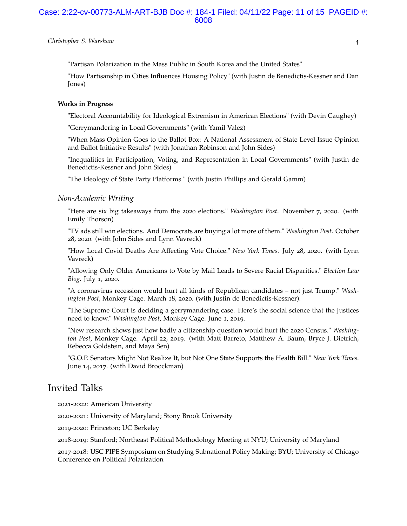#### Case: 2:22-cv-00773-ALM-ART-BJB Doc #: 184-1 Filed: 04/11/22 Page: 11 of 15 PAGEID #: 6008

#### *Christopher S. Warshaw* 4

"Partisan Polarization in the Mass Public in South Korea and the United States"

"How Partisanship in Cities Influences Housing Policy" (with Justin de Benedictis-Kessner and Dan Jones)

#### **Works in Progress**

"Electoral Accountability for Ideological Extremism in American Elections" (with Devin Caughey)

"Gerrymandering in Local Governments" (with Yamil Valez)

"When Mass Opinion Goes to the Ballot Box: A National Assessment of State Level Issue Opinion and Ballot Initiative Results" (with Jonathan Robinson and John Sides)

"Inequalities in Participation, Voting, and Representation in Local Governments" (with Justin de Benedictis-Kessner and John Sides)

"The Ideology of State Party Platforms " (with Justin Phillips and Gerald Gamm)

#### *Non-Academic Writing*

"Here are six big takeaways from the 2020 elections." *Washington Post*. November 7, 2020. (with Emily Thorson)

"TV ads still win elections. And Democrats are buying a lot more of them." *Washington Post*. October 28, 2020. (with John Sides and Lynn Vavreck)

"How Local Covid Deaths Are Affecting Vote Choice." *New York Times*. July 28, 2020. (with Lynn Vavreck)

"Allowing Only Older Americans to Vote by Mail Leads to Severe Racial Disparities." *Election Law Blog*. July 1, 2020.

"A coronavirus recession would hurt all kinds of Republican candidates – not just Trump." *Washington Post*, Monkey Cage. March 18, 2020. (with Justin de Benedictis-Kessner).

"The Supreme Court is deciding a gerrymandering case. Here's the social science that the Justices need to know." *Washington Post*, Monkey Cage. June 1, 2019.

"New research shows just how badly a citizenship question would hurt the 2020 Census." *Washington Post*, Monkey Cage. April 22, 2019. (with Matt Barreto, Matthew A. Baum, Bryce J. Dietrich, Rebecca Goldstein, and Maya Sen)

"G.O.P. Senators Might Not Realize It, but Not One State Supports the Health Bill." *New York Times*. June 14, 2017. (with David Broockman)

# Invited Talks

2021-2022: American University

2020-2021: University of Maryland; Stony Brook University

2019-2020: Princeton; UC Berkeley

2018-2019: Stanford; Northeast Political Methodology Meeting at NYU; University of Maryland

2017-2018: USC PIPE Symposium on Studying Subnational Policy Making; BYU; University of Chicago Conference on Political Polarization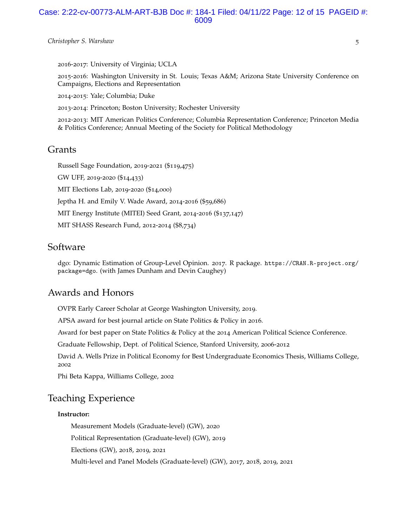#### Case: 2:22-cv-00773-ALM-ART-BJB Doc #: 184-1 Filed: 04/11/22 Page: 12 of 15 PAGEID #: 6009

#### *Christopher S. Warshaw* 5

2016-2017: University of Virginia; UCLA

2015-2016: Washington University in St. Louis; Texas A&M; Arizona State University Conference on Campaigns, Elections and Representation

2014-2015: Yale; Columbia; Duke

2013-2014: Princeton; Boston University; Rochester University

2012-2013: MIT American Politics Conference; Columbia Representation Conference; Princeton Media & Politics Conference; Annual Meeting of the Society for Political Methodology

## Grants

Russell Sage Foundation, 2019-2021 (\$119,475)

GW UFF, 2019-2020 (\$14,433)

MIT Elections Lab, 2019-2020 (\$14,000)

Jeptha H. and Emily V. Wade Award, 2014-2016 (\$59,686)

MIT Energy Institute (MITEI) Seed Grant, 2014-2016 (\$137,147)

MIT SHASS Research Fund, 2012-2014 (\$8,734)

## Software

dgo: Dynamic Estimation of Group-Level Opinion. 2017. R package. https://CRAN.R-project.org/ package=dgo. (with James Dunham and Devin Caughey)

# Awards and Honors

OVPR Early Career Scholar at George Washington University, 2019.

APSA award for best journal article on State Politics & Policy in 2016.

Award for best paper on State Politics & Policy at the 2014 American Political Science Conference.

Graduate Fellowship, Dept. of Political Science, Stanford University, 2006-2012

David A. Wells Prize in Political Economy for Best Undergraduate Economics Thesis, Williams College, 2002

Phi Beta Kappa, Williams College, 2002

# Teaching Experience

#### **Instructor:**

Measurement Models (Graduate-level) (GW), 2020

Political Representation (Graduate-level) (GW), 2019

Elections (GW), 2018, 2019, 2021

Multi-level and Panel Models (Graduate-level) (GW), 2017, 2018, 2019, 2021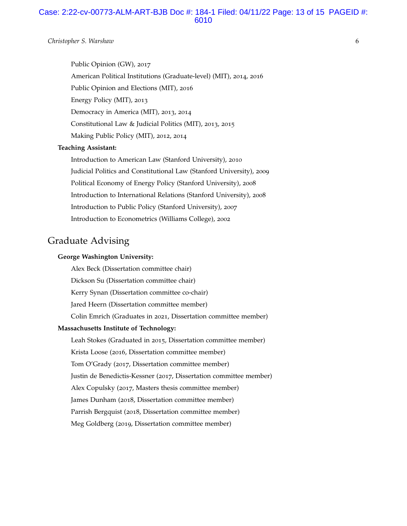### Case: 2:22-cv-00773-ALM-ART-BJB Doc #: 184-1 Filed: 04/11/22 Page: 13 of 15 PAGEID #: 6010

#### *Christopher S. Warshaw* 6

Public Opinion (GW), 2017 American Political Institutions (Graduate-level) (MIT), 2014, 2016 Public Opinion and Elections (MIT), 2016 Energy Policy (MIT), 2013 Democracy in America (MIT), 2013, 2014 Constitutional Law & Judicial Politics (MIT), 2013, 2015 Making Public Policy (MIT), 2012, 2014

#### **Teaching Assistant:**

Introduction to American Law (Stanford University), 2010 Judicial Politics and Constitutional Law (Stanford University), 2009 Political Economy of Energy Policy (Stanford University), 2008 Introduction to International Relations (Stanford University), 2008 Introduction to Public Policy (Stanford University), 2007 Introduction to Econometrics (Williams College), 2002

# Graduate Advising

#### **George Washington University:**

Alex Beck (Dissertation committee chair) Dickson Su (Dissertation committee chair) Kerry Synan (Dissertation committee co-chair) Jared Heern (Dissertation committee member) Colin Emrich (Graduates in 2021, Dissertation committee member) **Massachusetts Institute of Technology:** Leah Stokes (Graduated in 2015, Dissertation committee member) Krista Loose (2016, Dissertation committee member) Tom O'Grady (2017, Dissertation committee member) Justin de Benedictis-Kessner (2017, Dissertation committee member) Alex Copulsky (2017, Masters thesis committee member) James Dunham (2018, Dissertation committee member) Parrish Bergquist (2018, Dissertation committee member) Meg Goldberg (2019, Dissertation committee member)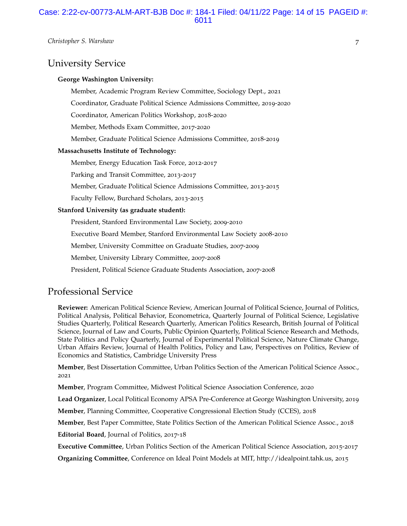# University Service

#### **George Washington University:**

Member, Academic Program Review Committee, Sociology Dept., 2021

Coordinator, Graduate Political Science Admissions Committee, 2019-2020

Coordinator, American Politics Workshop, 2018-2020

Member, Methods Exam Committee, 2017-2020

Member, Graduate Political Science Admissions Committee, 2018-2019

#### **Massachusetts Institute of Technology:**

Member, Energy Education Task Force, 2012-2017

Parking and Transit Committee, 2013-2017

Member, Graduate Political Science Admissions Committee, 2013-2015

Faculty Fellow, Burchard Scholars, 2013-2015

#### **Stanford University (as graduate student):**

President, Stanford Environmental Law Society, 2009-2010

Executive Board Member, Stanford Environmental Law Society 2008-2010

Member, University Committee on Graduate Studies, 2007-2009

Member, University Library Committee, 2007-2008

President, Political Science Graduate Students Association, 2007-2008

# Professional Service

**Reviewer:** American Political Science Review, American Journal of Political Science, Journal of Politics, Political Analysis, Political Behavior, Econometrica, Quarterly Journal of Political Science, Legislative Studies Quarterly, Political Research Quarterly, American Politics Research, British Journal of Political Science, Journal of Law and Courts, Public Opinion Quarterly, Political Science Research and Methods, State Politics and Policy Quarterly, Journal of Experimental Political Science, Nature Climate Change, Urban Affairs Review, Journal of Health Politics, Policy and Law, Perspectives on Politics, Review of Economics and Statistics, Cambridge University Press

**Member**, Best Dissertation Committee, Urban Politics Section of the American Political Science Assoc., 2021

**Member**, Program Committee, Midwest Political Science Association Conference, 2020

**Lead Organizer**, Local Political Economy APSA Pre-Conference at George Washington University, 2019

**Member**, Planning Committee, Cooperative Congressional Election Study (CCES), 2018

**Member**, Best Paper Committee, State Politics Section of the American Political Science Assoc., 2018

**Editorial Board**, Journal of Politics, 2017-18

**Executive Committee**, Urban Politics Section of the American Political Science Association, 2015-2017

**Organizing Committee**, Conference on Ideal Point Models at MIT, http://idealpoint.tahk.us, 2015